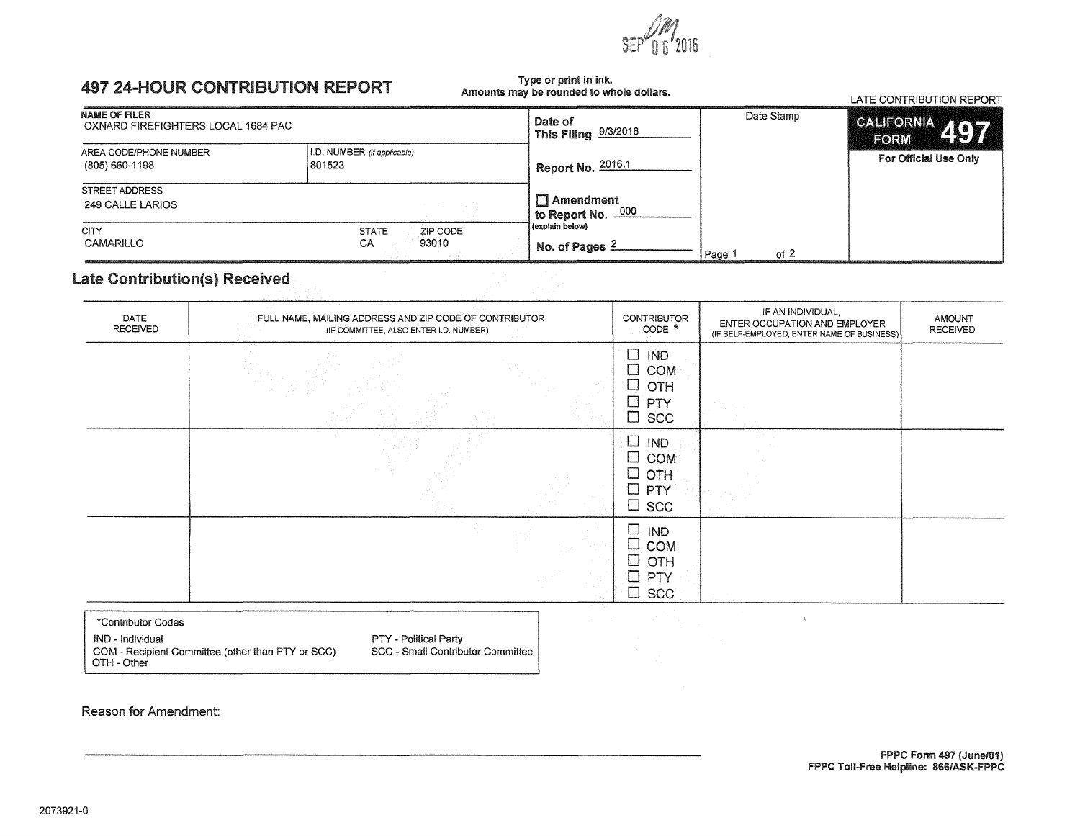### **497 24-HOUR CONTRIBUTION REPORT**

#### Type or print in ink. Amounts may be rounded to whole dollars.

|                                                            |                                         | Amounts may be rounded to whole donars.      |                | LATE CONTRIBUTION REPORT |  |
|------------------------------------------------------------|-----------------------------------------|----------------------------------------------|----------------|--------------------------|--|
| <b>NAME OF FILER</b><br>OXNARD FIREFIGHTERS LOCAL 1684 PAC |                                         | Date of<br><sup>1</sup> This Filing 9/3/2016 | Date Stamp     | CALIFORNIA 497<br>FORM   |  |
| AREA CODE/PHONE NUMBER<br>(805) 660-1198                   | I.D. NUMBER (if applicable)<br>1801523  | Report No. 2016.1                            |                | For Official Use Only    |  |
| <b>STREET ADDRESS</b><br>249 CALLE LARIOS                  |                                         | $\Box$ Amendment<br>000<br>to Report No. -   |                |                          |  |
| <b>CITY</b><br><b>CAMARILLO</b>                            | <b>STATE</b><br>ZIP CODE<br>93010<br>CA | (explain below)<br>No. of Pages $2$          | of $2$<br>Page |                          |  |

### Late Contribution(s) Received

| $\square$ IND<br>$\square$ COM<br>$\Box$ OTH<br>$\Box$ PTY<br>$\square$ scc<br>$\square$ IND<br>$\square$ COM<br>$\square$ OTH<br>$\Box$ PTY<br>$\Box$ scc<br>$\Box$<br>IND<br>$\Box$ COM<br>$\Box$ OTH | DATE<br><b>RECEIVED</b> | FULL NAME, MAILING ADDRESS AND ZIP CODE OF CONTRIBUTOR<br>(IF COMMITTEE, ALSO ENTER I.D. NUMBER) | <b>CONTRIBUTOR</b><br>CODE * | IF AN INDIVIDUAL,<br>ENTER OCCUPATION AND EMPLOYER<br>(IF SELF-EMPLOYED, ENTER NAME OF BUSINESS) | <b>AMOUNT</b><br><b>RECEIVED</b> |
|---------------------------------------------------------------------------------------------------------------------------------------------------------------------------------------------------------|-------------------------|--------------------------------------------------------------------------------------------------|------------------------------|--------------------------------------------------------------------------------------------------|----------------------------------|
|                                                                                                                                                                                                         |                         |                                                                                                  |                              |                                                                                                  |                                  |
|                                                                                                                                                                                                         |                         |                                                                                                  |                              |                                                                                                  |                                  |
| $\square$ scc                                                                                                                                                                                           |                         |                                                                                                  | $\Box$ PTY                   |                                                                                                  |                                  |

\*Contributor Codes IND - Individual PTY - Political Party COM - Recipient Committee (other than PTY or SCC)<br>OTH - Other

SCC - Small Contributor Committee

Reason for Amendment: